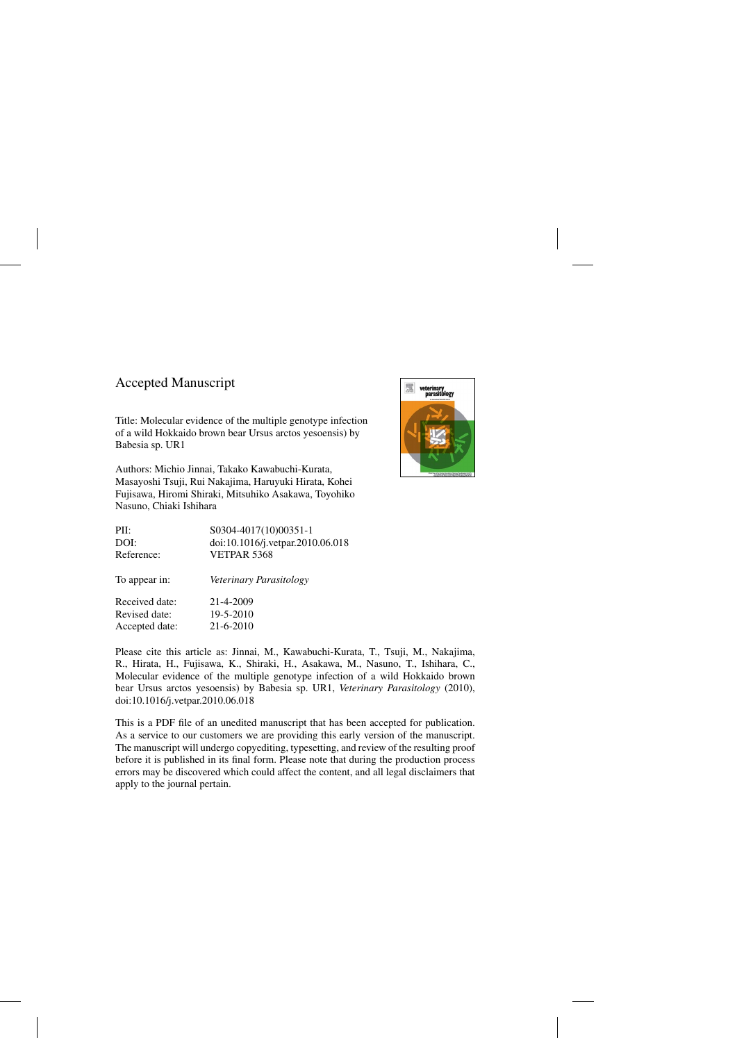## Accepted Manuscript

Title: Molecular evidence of the multiple genotype infection of a wild Hokkaido brown bear Ursus arctos yesoensis) by Babesia sp. UR1

Authors: Michio Jinnai, Takako Kawabuchi-Kurata, Masayoshi Tsuji, Rui Nakajima, Haruyuki Hirata, Kohei Fujisawa, Hiromi Shiraki, Mitsuhiko Asakawa, Toyohiko Nasuno, Chiaki Ishihara

| PII:           | S0304-4017(10)00351-1            |
|----------------|----------------------------------|
| DOI:           | doi:10.1016/j.vetpar.2010.06.018 |
| Reference:     | VETPAR 5368                      |
| To appear in:  | Veterinary Parasitology          |
| Received date: | 21-4-2009                        |
| Revised date:  | 19-5-2010                        |
| Accepted date: | 21-6-2010                        |

Please cite this article as: Jinnai, M., Kawabuchi-Kurata, T., Tsuji, M., Nakajima, R., Hirata, H., Fujisawa, K., Shiraki, H., Asakawa, M., Nasuno, T., Ishihara, C., Molecular evidence of the multiple genotype infection of a wild Hokkaido brown bear Ursus arctos yesoensis) by Babesia sp. UR1, *Veterinary Parasitology* (2010), doi:[10.1016/j.vetpar.2010.06.018](dx.doi.org/10.1016/j.vetpar.2010.06.018)

This is a PDF file of an unedited manuscript that has been accepted for publication. As a service to our customers we are providing this early version of the manuscript. The manuscript will undergo copyediting, typesetting, and review of the resulting proof before it is published in its final form. Please note that during the production process errors may be discovered which could affect the content, and all legal disclaimers that apply to the journal pertain.

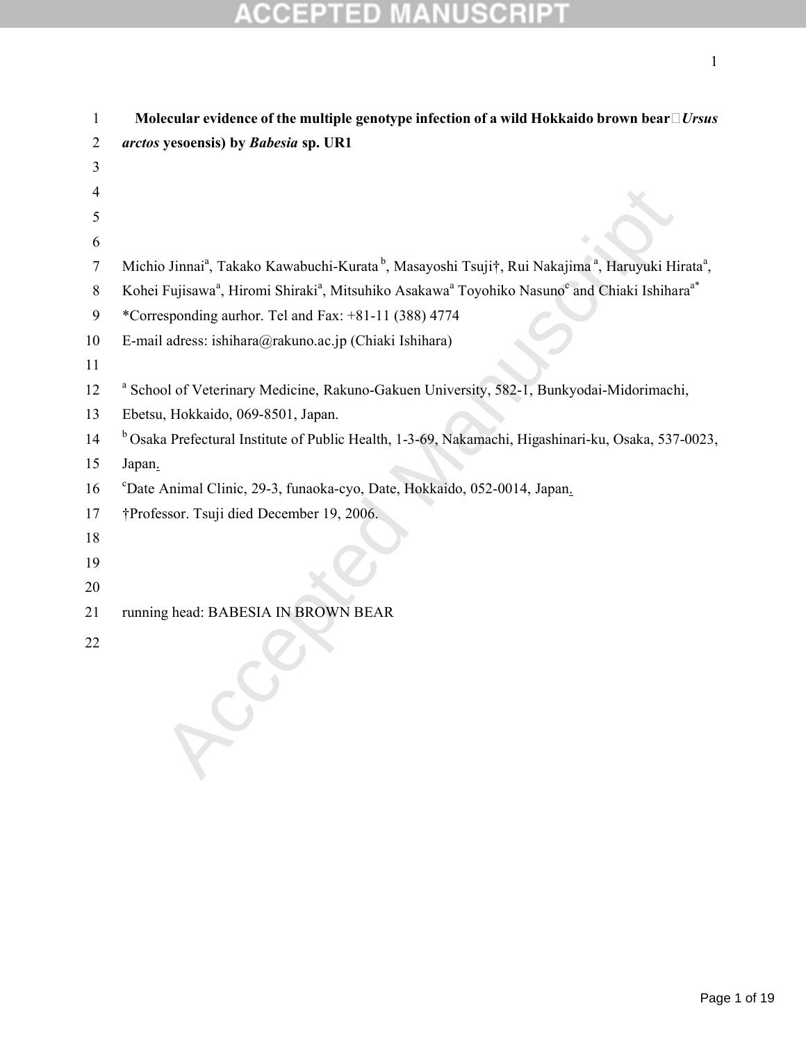| 1              | Molecular evidence of the multiple genotype infection of a wild Hokkaido brown bear $\Box$ <i>Ursus</i>                                                   |
|----------------|-----------------------------------------------------------------------------------------------------------------------------------------------------------|
| $\overline{2}$ | arctos yesoensis) by Babesia sp. UR1                                                                                                                      |
| 3              |                                                                                                                                                           |
| 4              |                                                                                                                                                           |
| 5              |                                                                                                                                                           |
| 6              |                                                                                                                                                           |
| $\overline{7}$ | Michio Jinnai <sup>a</sup> , Takako Kawabuchi-Kurata <sup>b</sup> , Masayoshi Tsuji†, Rui Nakajima <sup>a</sup> , Haruyuki Hirata <sup>a</sup> ,          |
| 8              | Kohei Fujisawa <sup>a</sup> , Hiromi Shiraki <sup>a</sup> , Mitsuhiko Asakawa <sup>a</sup> Toyohiko Nasuno <sup>c</sup> and Chiaki Ishihara <sup>a*</sup> |
| 9              | *Corresponding aurhor. Tel and Fax: +81-11 (388) 4774                                                                                                     |
| 10             | E-mail adress: ishihara@rakuno.ac.jp (Chiaki Ishihara)                                                                                                    |
| 11             |                                                                                                                                                           |
| 12             | <sup>a</sup> School of Veterinary Medicine, Rakuno-Gakuen University, 582-1, Bunkyodai-Midorimachi,                                                       |
| 13             | Ebetsu, Hokkaido, 069-8501, Japan.                                                                                                                        |
| 14             | <sup>b</sup> Osaka Prefectural Institute of Public Health, 1-3-69, Nakamachi, Higashinari-ku, Osaka, 537-0023,                                            |
| 15             | Japan.                                                                                                                                                    |
| 16             | <sup>c</sup> Date Animal Clinic, 29-3, funaoka-cyo, Date, Hokkaido, 052-0014, Japan.                                                                      |
| 17             | †Professor. Tsuji died December 19, 2006.                                                                                                                 |
| 18             |                                                                                                                                                           |
| 19             |                                                                                                                                                           |
| 20             |                                                                                                                                                           |
| 21             | running head: BABESIA IN BROWN BEAR                                                                                                                       |
| 22             |                                                                                                                                                           |
|                |                                                                                                                                                           |
|                |                                                                                                                                                           |
|                |                                                                                                                                                           |
|                |                                                                                                                                                           |
|                |                                                                                                                                                           |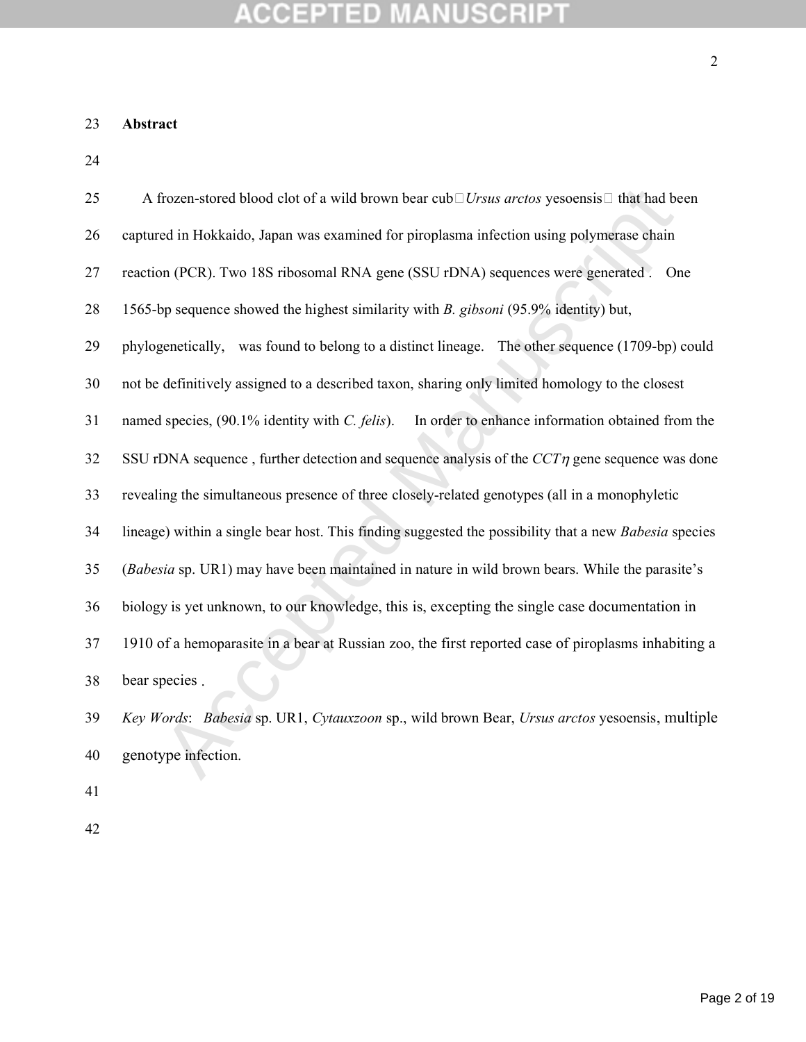#### **ACCEPTED ANUSCRIPT** IN.

### **Abstract**

| 25 | A frozen-stored blood clot of a wild brown bear cub $\Box U$ rsus arctos yesoensis $\Box$ that had been |
|----|---------------------------------------------------------------------------------------------------------|
| 26 | captured in Hokkaido, Japan was examined for piroplasma infection using polymerase chain                |
| 27 | reaction (PCR). Two 18S ribosomal RNA gene (SSU rDNA) sequences were generated . One                    |
| 28 | 1565-bp sequence showed the highest similarity with <i>B. gibsoni</i> (95.9% identity) but,             |
| 29 | phylogenetically, was found to belong to a distinct lineage. The other sequence (1709-bp) could         |
| 30 | not be definitively assigned to a described taxon, sharing only limited homology to the closest         |
| 31 | named species, (90.1% identity with C. felis).<br>In order to enhance information obtained from the     |
| 32 | SSU rDNA sequence, further detection and sequence analysis of the $CCT\eta$ gene sequence was done      |
| 33 | revealing the simultaneous presence of three closely-related genotypes (all in a monophyletic           |
| 34 | lineage) within a single bear host. This finding suggested the possibility that a new Babesia species   |
| 35 | (Babesia sp. UR1) may have been maintained in nature in wild brown bears. While the parasite's          |
| 36 | biology is yet unknown, to our knowledge, this is, excepting the single case documentation in           |
| 37 | 1910 of a hemoparasite in a bear at Russian zoo, the first reported case of piroplasms inhabiting a     |
| 38 | bear species.                                                                                           |
| 39 | Key Words: Babesia sp. UR1, Cytauxzoon sp., wild brown Bear, Ursus arctos yesoensis, multiple           |
| 40 | genotype infection.                                                                                     |
|    |                                                                                                         |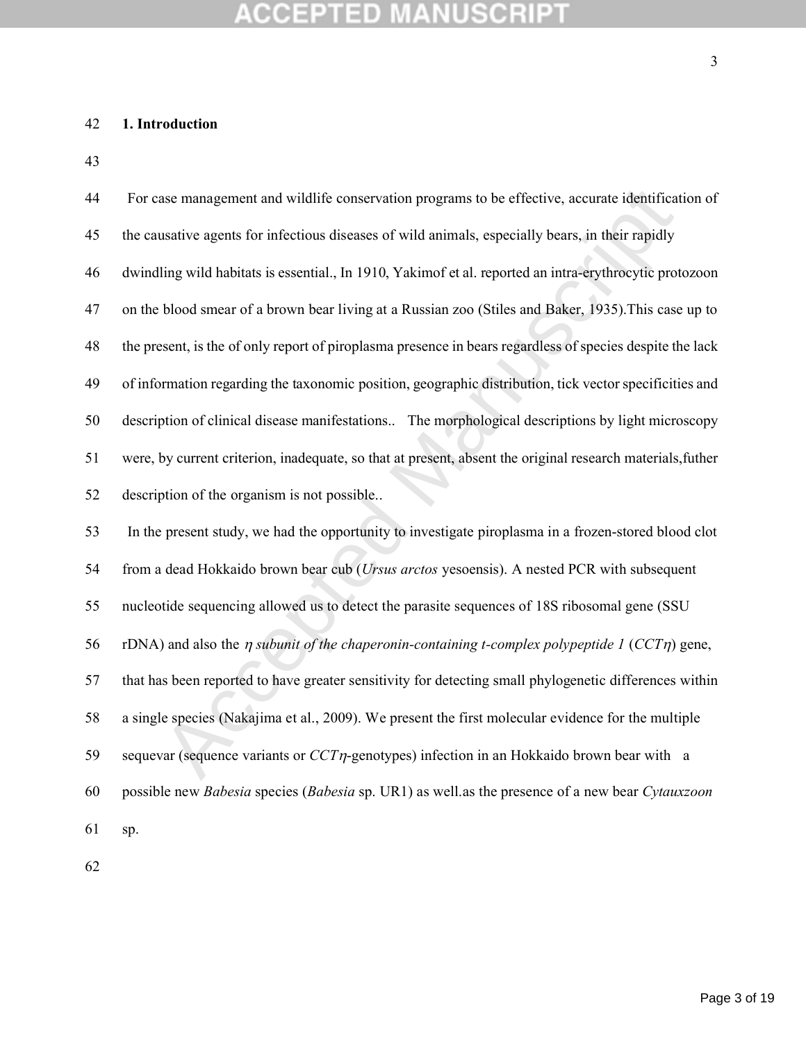## **1. Introduction**

| 44 | For case management and wildlife conservation programs to be effective, accurate identification of         |
|----|------------------------------------------------------------------------------------------------------------|
| 45 | the causative agents for infectious diseases of wild animals, especially bears, in their rapidly           |
| 46 | dwindling wild habitats is essential., In 1910, Yakimof et al. reported an intra-erythrocytic protozoon    |
| 47 | on the blood smear of a brown bear living at a Russian zoo (Stiles and Baker, 1935). This case up to       |
| 48 | the present, is the of only report of piroplasma presence in bears regardless of species despite the lack  |
| 49 | of information regarding the taxonomic position, geographic distribution, tick vector specificities and    |
| 50 | description of clinical disease manifestations The morphological descriptions by light microscopy          |
| 51 | were, by current criterion, inadequate, so that at present, absent the original research materials, futher |
| 52 | description of the organism is not possible                                                                |
| 53 | In the present study, we had the opportunity to investigate piroplasma in a frozen-stored blood clot       |
| 54 | from a dead Hokkaido brown bear cub (Ursus arctos yesoensis). A nested PCR with subsequent                 |
| 55 | nucleotide sequencing allowed us to detect the parasite sequences of 18S ribosomal gene (SSU               |
| 56 | rDNA) and also the $\eta$ subunit of the chaperonin-containing t-complex polypeptide 1 (CCT $\eta$ ) gene, |
| 57 | that has been reported to have greater sensitivity for detecting small phylogenetic differences within     |
| 58 | a single species (Nakajima et al., 2009). We present the first molecular evidence for the multiple         |
| 59 | sequevar (sequence variants or $CCT\eta$ -genotypes) infection in an Hokkaido brown bear with a            |
| 60 | possible new Babesia species (Babesia sp. UR1) as well as the presence of a new bear Cytauxzoon            |
| 61 | sp.                                                                                                        |
|    |                                                                                                            |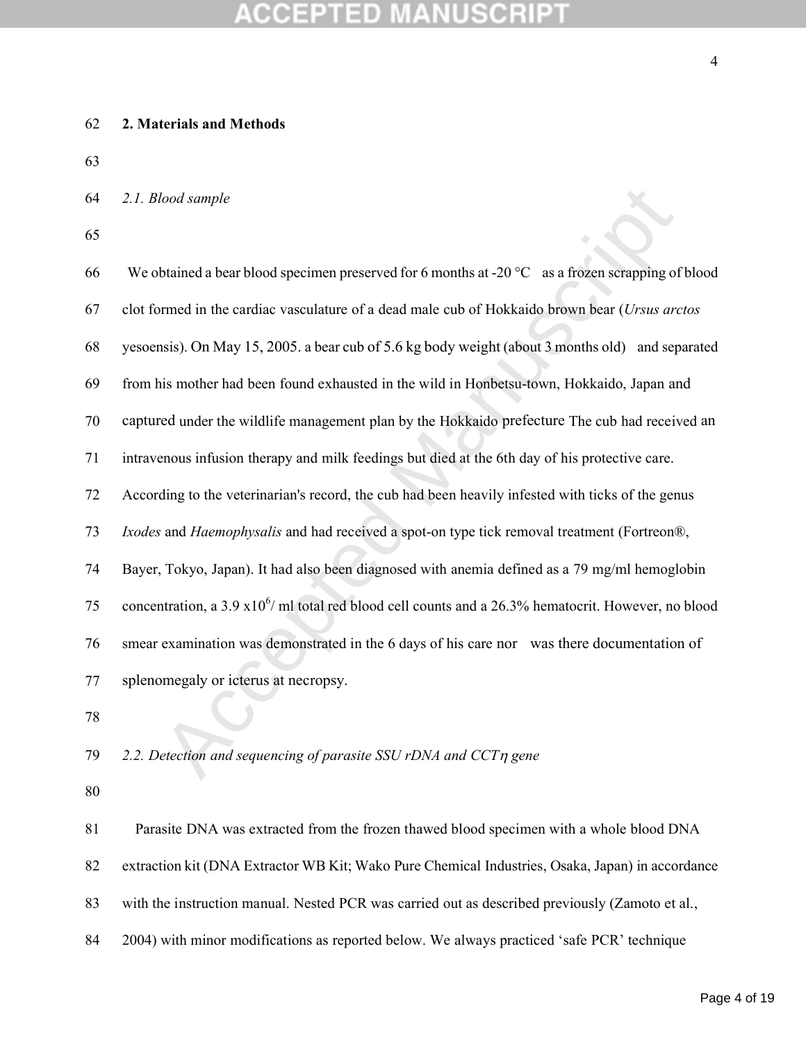#### **2. Materials and Methods**

#### *2.1. Blood sample*

lood sample<br>btained a bear blood specimen preserved for 6 months at -20 °C as a frozen scrapping of<br>ormed in the cardiac vasculature of a dead male cub of Hokkaido brown bear (Ursus are<br>asis). On May 15, 2005. a bear cub 66 We obtained a bear blood specimen preserved for 6 months at -20  $^{\circ}$ C as a frozen scrapping of blood clot formed in the cardiac vasculature of a dead male cub of Hokkaido brown bear (*Ursus arctos* yesoensis). On May 15, 2005. a bear cub of 5.6 kg body weight (about 3 months old) and separated from his mother had been found exhausted in the wild in Honbetsu-town, Hokkaido, Japan and captured under the wildlife management plan by the Hokkaido prefecture The cub had received an intravenous infusion therapy and milk feedings but died at the 6th day of his protective care. According to the veterinarian's record, the cub had been heavily infested with ticks of the genus *Ixodes* and *Haemophysalis* and had received a spot-on type tick removal treatment (Fortreon®, Bayer, Tokyo, Japan). It had also been diagnosed with anemia defined as a 79 mg/ml hemoglobin 75 concentration, a 3.9  $x10^6$  ml total red blood cell counts and a 26.3% hematocrit. However, no blood smear examination was demonstrated in the 6 days of his care nor was there documentation of splenomegaly or icterus at necropsy.

79 2.2. Detection and sequencing of parasite SSU rDNA and CCT<sub>n</sub> gene

Parasite DNA was extracted from the frozen thawed blood specimen with a whole blood DNA extraction kit (DNA Extractor WB Kit; Wako Pure Chemical Industries, Osaka, Japan) in accordance 83 with the instruction manual. Nested PCR was carried out as described previously (Zamoto et al., 84 2004) with minor modifications as reported below. We always practiced 'safe PCR' technique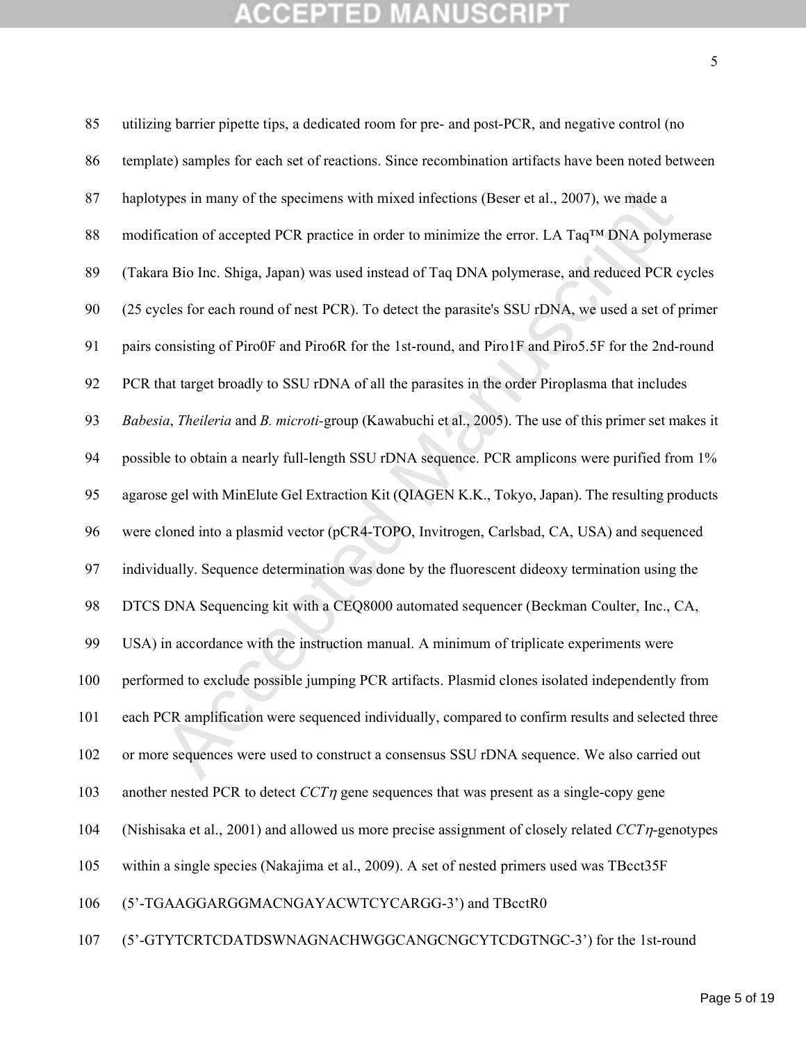| 85  | utilizing barrier pipette tips, a dedicated room for pre- and post-PCR, and negative control (no        |
|-----|---------------------------------------------------------------------------------------------------------|
| 86  | template) samples for each set of reactions. Since recombination artifacts have been noted between      |
| 87  | haplotypes in many of the specimens with mixed infections (Beser et al., 2007), we made a               |
| 88  | modification of accepted PCR practice in order to minimize the error. LA TaqTM DNA polymerase           |
| 89  | (Takara Bio Inc. Shiga, Japan) was used instead of Taq DNA polymerase, and reduced PCR cycles           |
| 90  | (25 cycles for each round of nest PCR). To detect the parasite's SSU rDNA, we used a set of primer      |
| 91  | pairs consisting of Piro0F and Piro6R for the 1st-round, and Piro1F and Piro5.5F for the 2nd-round      |
| 92  | PCR that target broadly to SSU rDNA of all the parasites in the order Piroplasma that includes          |
| 93  | Babesia, Theileria and B. microti-group (Kawabuchi et al., 2005). The use of this primer set makes it   |
| 94  | possible to obtain a nearly full-length SSU rDNA sequence. PCR amplicons were purified from 1%          |
| 95  | agarose gel with MinElute Gel Extraction Kit (QIAGEN K.K., Tokyo, Japan). The resulting products        |
| 96  | were cloned into a plasmid vector (pCR4-TOPO, Invitrogen, Carlsbad, CA, USA) and sequenced              |
| 97  | individually. Sequence determination was done by the fluorescent dideoxy termination using the          |
| 98  | DTCS DNA Sequencing kit with a CEQ8000 automated sequencer (Beckman Coulter, Inc., CA,                  |
| 99  | USA) in accordance with the instruction manual. A minimum of triplicate experiments were                |
| 100 | performed to exclude possible jumping PCR artifacts. Plasmid clones isolated independently from         |
| 101 | each PCR amplification were sequenced individually, compared to confirm results and selected three      |
| 102 | or more sequences were used to construct a consensus SSU rDNA sequence. We also carried out             |
| 103 | another nested PCR to detect $CCT\eta$ gene sequences that was present as a single-copy gene            |
| 104 | (Nishisaka et al., 2001) and allowed us more precise assignment of closely related $CCT\eta$ -genotypes |
| 105 | within a single species (Nakajima et al., 2009). A set of nested primers used was TBcct35F              |
| 106 | (5'-TGAAGGARGGMACNGAYACWTCYCARGG-3') and TBcctR0                                                        |
|     |                                                                                                         |

(5'-GTYTCRTCDATDSWNAGNACHWGGCANGCNGCYTCDGTNGC-3') for the 1st-round

Page 5 of 19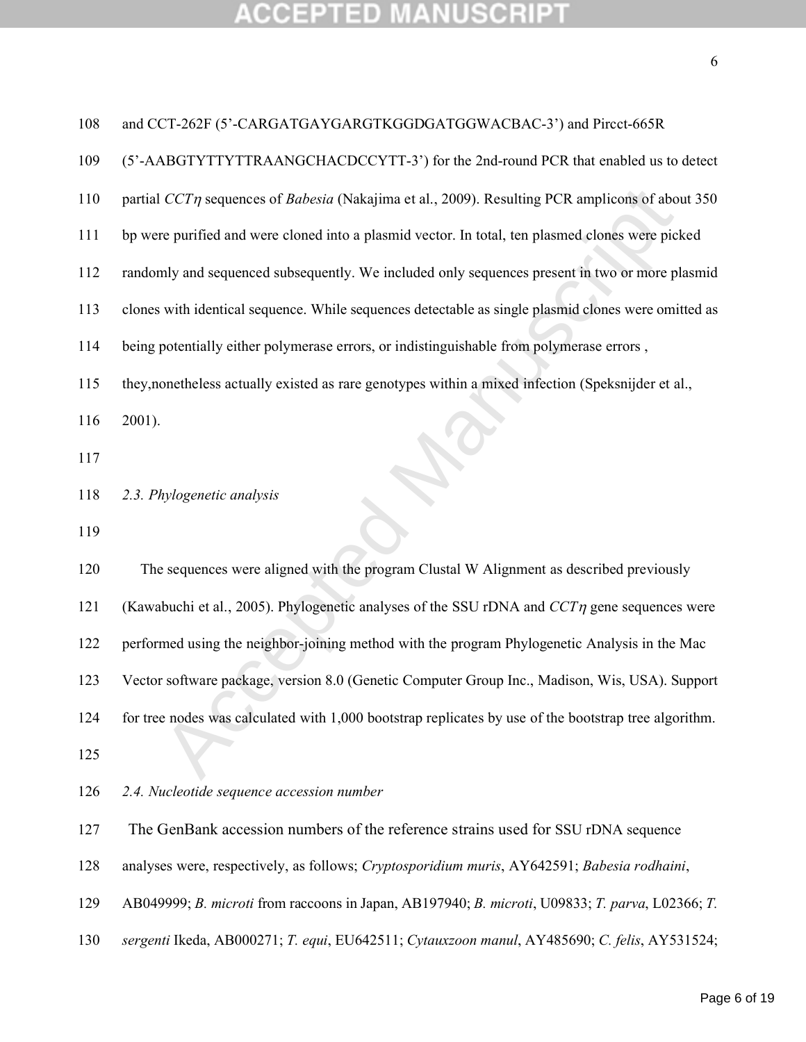#### **NUSCRIPT ACCEPTED** W. Ŧ

|   |        | ۹      |   |
|---|--------|--------|---|
|   | ł<br>٠ | ٧      |   |
| v |        |        |   |
|   |        | I<br>ł | I |
| × |        | ٧      |   |

| 108 | and CCT-262F (5'-CARGATGAYGARGTKGGDGATGGWACBAC-3') and Pircct-665R                                    |
|-----|-------------------------------------------------------------------------------------------------------|
| 109 | (5'-AABGTYTTYTTRAANGCHACDCCYTT-3') for the 2nd-round PCR that enabled us to detect                    |
| 110 | partial $CCT\eta$ sequences of Babesia (Nakajima et al., 2009). Resulting PCR amplicons of about 350  |
| 111 | bp were purified and were cloned into a plasmid vector. In total, ten plasmed clones were picked      |
| 112 | randomly and sequenced subsequently. We included only sequences present in two or more plasmid        |
| 113 | clones with identical sequence. While sequences detectable as single plasmid clones were omitted as   |
| 114 | being potentially either polymerase errors, or indistinguishable from polymerase errors,              |
| 115 | they, nonetheless actually existed as rare genotypes within a mixed infection (Speksnijder et al.,    |
| 116 | 2001).                                                                                                |
| 117 |                                                                                                       |
| 118 | 2.3. Phylogenetic analysis                                                                            |
| 119 |                                                                                                       |
| 120 | The sequences were aligned with the program Clustal W Alignment as described previously               |
| 121 | (Kawabuchi et al., 2005). Phylogenetic analyses of the SSU rDNA and $CCT\eta$ gene sequences were     |
| 122 | performed using the neighbor-joining method with the program Phylogenetic Analysis in the Mac         |
| 123 | Vector software package, version 8.0 (Genetic Computer Group Inc., Madison, Wis, USA). Support        |
| 124 | for tree nodes was calculated with 1,000 bootstrap replicates by use of the bootstrap tree algorithm. |
| 125 |                                                                                                       |
| 126 | 2.4. Nucleotide sequence accession number                                                             |
| 127 | The GenBank accession numbers of the reference strains used for SSU rDNA sequence                     |
|     |                                                                                                       |
| 128 | analyses were, respectively, as follows; Cryptosporidium muris, AY642591; Babesia rodhaini,           |

*sergenti* Ikeda, AB000271; *T. equi*, EU642511; *Cytauxzoon manul*, AY485690; *C. felis*, AY531524;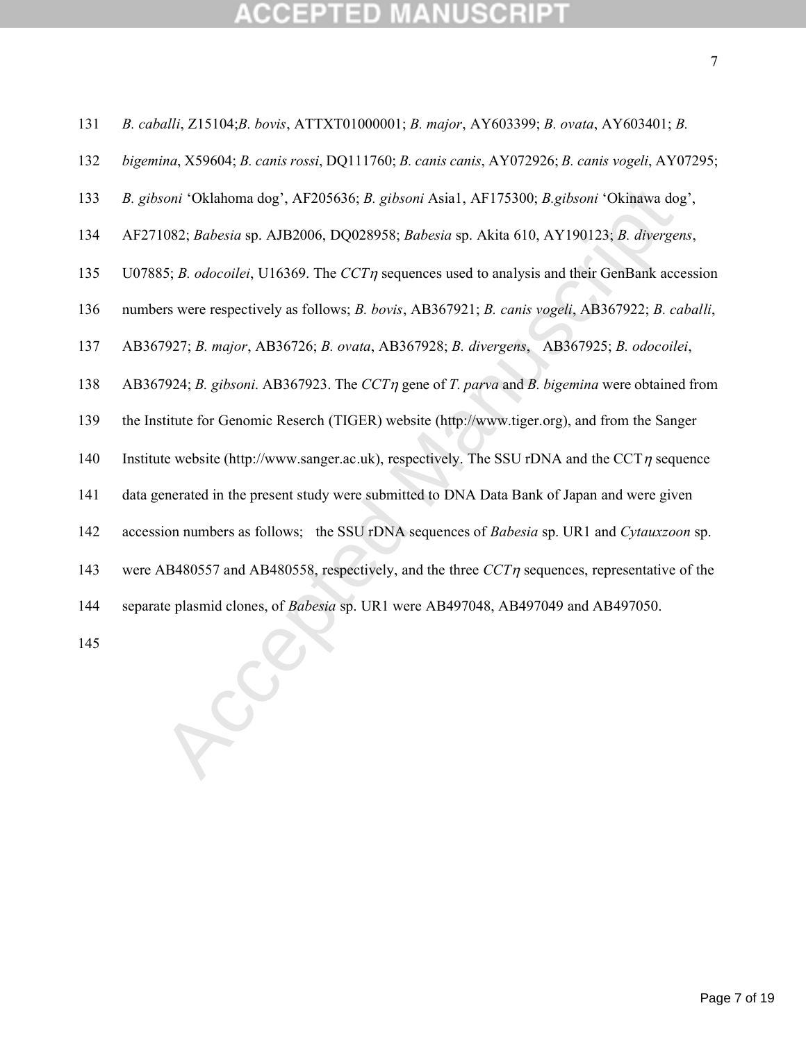## CCEPTED

- *B. caballi*, Z15104;*B. bovis*, ATTXT01000001; *B. major*, AY603399; *B. ovata*, AY603401; *B.*
- *bigemina*, X59604; *B. canis rossi*, DQ111760; *B. canis canis*, AY072926; *B. canis vogeli*, AY07295;
- *B. gibsoni* 'Oklahoma dog', AF205636; *B. gibsoni* Asia1, AF175300; *B.gibsoni* 'Okinawa dog',
- AF271082; *Babesia* sp. AJB2006, DQ028958; *Babesia* sp. Akita 610, AY190123; *B. divergens*,
- 135 U07885; *B. odocoilei*, U16369. The *CCT* $\eta$  sequences used to analysis and their GenBank accession
- numbers were respectively as follows; *B. bovis*, AB367921; *B. canis vogeli*, AB367922; *B. caballi*,
- AB367927; *B. major*, AB36726; *B. ovata*, AB367928; *B. divergens*, AB367925; *B. odocoilei*,
- AB367924; *B. gibsoni*. AB367923. The *CCT* gene of *T. parva* and *B. bigemina* were obtained from
- the Institute for Genomic Reserch (TIGER) website (http://www.tiger.org), and from the Sanger
- 140 Institute website (http://www.sanger.ac.uk), respectively. The SSU rDNA and the CCT $\eta$  sequence
- data generated in the present study were submitted to DNA Data Bank of Japan and were given
- soni 'Oklahoma dog', AF205636; *B. gibsoni Asial*, AF175300; *B.gibsoni* 'Okinawa do<br>1082; *Babesia* sp. AJB2006, DQ028958; *Babesia* sp. Akita 610, AY190123; *B. diverges*<br>1082; *Babesia* sp. AJB2006, DQ028958; *Babesia* accession numbers as follows; the SSU rDNA sequences of *Babesia* sp. UR1 and *Cytauxzoon* sp.
- 143 were AB480557 and AB480558, respectively, and the three  $CCTn$  sequences, representative of the
- separate plasmid clones, of *Babesia* sp. UR1 were AB497048, AB497049 and AB497050.
-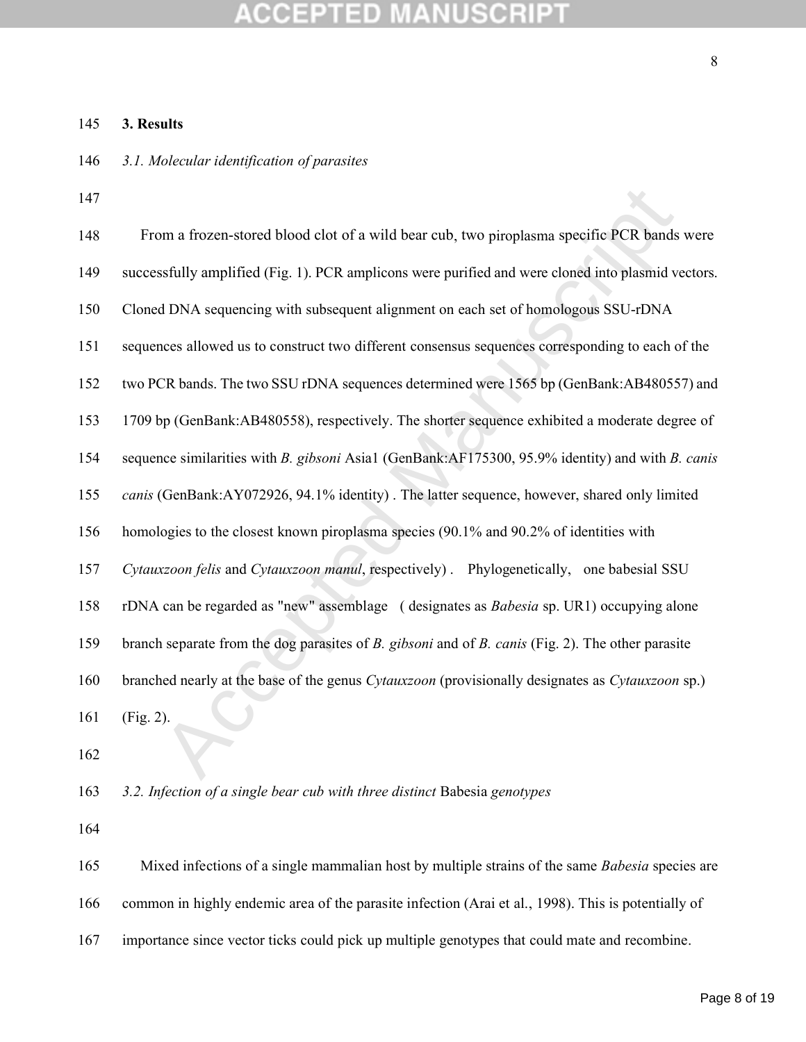#### A **MANUSCRIPT CCEPTED**

### **3. Results**

- *3.1. Molecular identification of parasites*
- 

| 147 |                                                                                                         |
|-----|---------------------------------------------------------------------------------------------------------|
| 148 | From a frozen-stored blood clot of a wild bear cub, two piroplasma specific PCR bands were              |
| 149 | successfully amplified (Fig. 1). PCR amplicons were purified and were cloned into plasmid vectors.      |
| 150 | Cloned DNA sequencing with subsequent alignment on each set of homologous SSU-rDNA                      |
| 151 | sequences allowed us to construct two different consensus sequences corresponding to each of the        |
| 152 | two PCR bands. The two SSU rDNA sequences determined were 1565 bp (GenBank:AB480557) and                |
| 153 | 1709 bp (GenBank:AB480558), respectively. The shorter sequence exhibited a moderate degree of           |
| 154 | sequence similarities with B. gibsoni Asia1 (GenBank:AF175300, 95.9% identity) and with B. canis        |
| 155 | canis (GenBank:AY072926, 94.1% identity). The latter sequence, however, shared only limited             |
| 156 | homologies to the closest known piroplasma species (90.1% and 90.2% of identities with                  |
| 157 | Cytauxzoon felis and Cytauxzoon manul, respectively) . Phylogenetically, one babesial SSU               |
| 158 | rDNA can be regarded as "new" assemblage (designates as <i>Babesia</i> sp. UR1) occupying alone         |
| 159 | branch separate from the dog parasites of $B$ . gibsoni and of $B$ . canis (Fig. 2). The other parasite |
| 160 | branched nearly at the base of the genus Cytauxzoon (provisionally designates as Cytauxzoon sp.)        |
| 161 | (Fig. 2).                                                                                               |
| 162 |                                                                                                         |
| 163 | 3.2. Infection of a single bear cub with three distinct Babesia genotypes                               |

165 Mixed infections of a single mammalian host by multiple strains of the same *Babesia* species are

common in highly endemic area of the parasite infection (Arai et al., 1998). This is potentially of

importance since vector ticks could pick up multiple genotypes that could mate and recombine.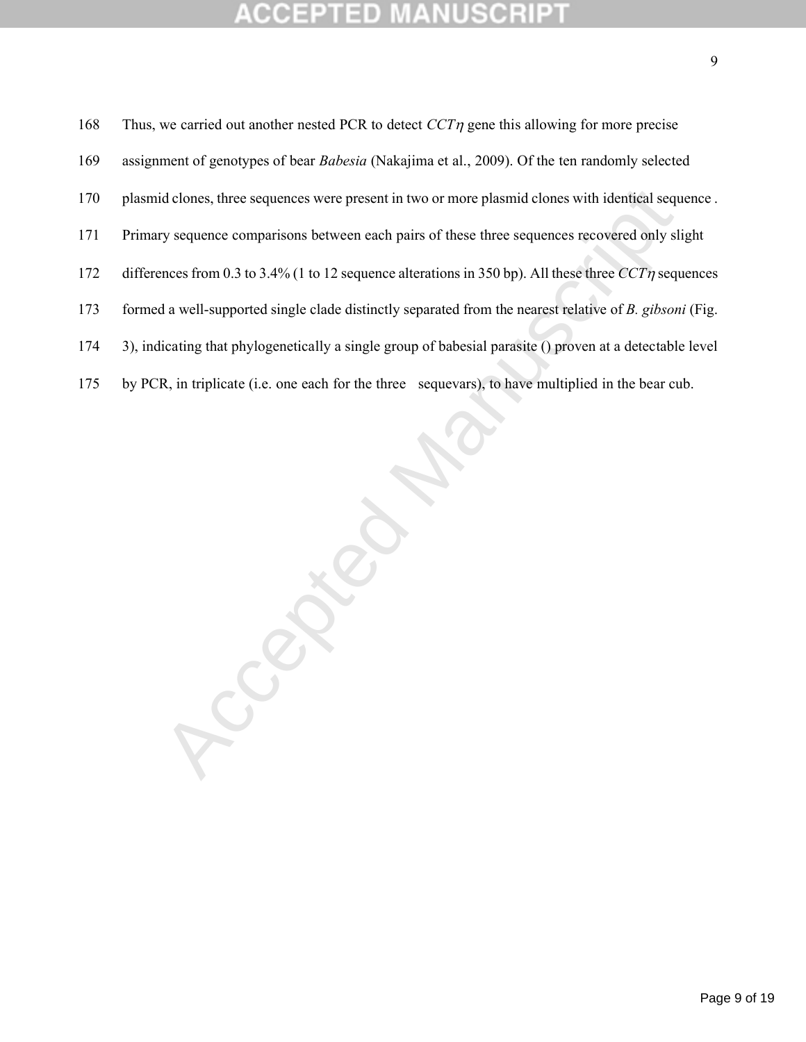## CCEPTED

168 Thus, we carried out another nested PCR to detect  $CCT\eta$  gene this allowing for more precise assignment of genotypes of bear *Babesia* (Nakajima et al., 2009). Of the ten randomly selected plasmid clones, three sequences were present in two or more plasmid clones with identical sequence . Primary sequence comparisons between each pairs of these three sequences recovered only slight 172 differences from 0.3 to 3.4% (1 to 12 sequence alterations in 350 bp). All these three  $CCT\eta$  sequences formed a well-supported single clade distinctly separated from the nearest relative of *B. gibsoni* (Fig. 3), indicating that phylogenetically a single group of babesial parasite () proven at a detectable level by PCR, in triplicate (i.e. one each for the three sequevars), to have multiplied in the bear cub.

R.Compte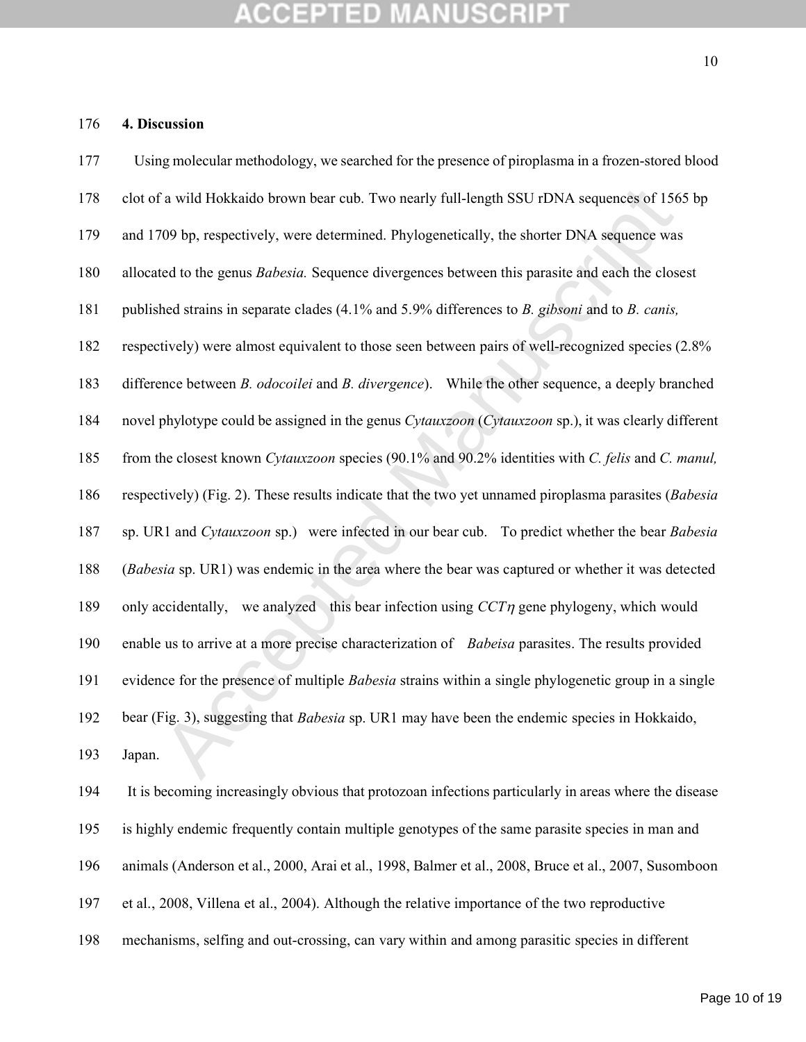### **4. Discussion**

| 177 | Using molecular methodology, we searched for the presence of piroplasma in a frozen-stored blood        |
|-----|---------------------------------------------------------------------------------------------------------|
| 178 | clot of a wild Hokkaido brown bear cub. Two nearly full-length SSU rDNA sequences of 1565 bp            |
| 179 | and 1709 bp, respectively, were determined. Phylogenetically, the shorter DNA sequence was              |
| 180 | allocated to the genus <i>Babesia</i> . Sequence divergences between this parasite and each the closest |
| 181 | published strains in separate clades (4.1% and 5.9% differences to B. gibsoni and to B. canis,          |
| 182 | respectively) were almost equivalent to those seen between pairs of well-recognized species (2.8%       |
| 183 | difference between B. odocoilei and B. divergence). While the other sequence, a deeply branched         |
| 184 | novel phylotype could be assigned in the genus Cytauxzoon (Cytauxzoon sp.), it was clearly different    |
| 185 | from the closest known Cytauxzoon species (90.1% and 90.2% identities with C. felis and C. manul,       |
| 186 | respectively) (Fig. 2). These results indicate that the two yet unnamed piroplasma parasites (Babesia   |
| 187 | sp. UR1 and Cytauxzoon sp.) were infected in our bear cub. To predict whether the bear Babesia          |
| 188 | (Babesia sp. UR1) was endemic in the area where the bear was captured or whether it was detected        |
| 189 | only accidentally, we analyzed this bear infection using $CCT\eta$ gene phylogeny, which would          |
| 190 | enable us to arrive at a more precise characterization of Babeisa parasites. The results provided       |
| 191 | evidence for the presence of multiple Babesia strains within a single phylogenetic group in a single    |
| 192 | bear (Fig. 3), suggesting that <i>Babesia</i> sp. UR1 may have been the endemic species in Hokkaido,    |
| 193 | Japan.                                                                                                  |
| 194 | It is becoming increasingly obvious that protozoan infections particularly in areas where the disease   |
| 195 | is highly endemic frequently contain multiple genotypes of the same parasite species in man and         |
| 196 | animals (Anderson et al., 2000, Arai et al., 1998, Balmer et al., 2008, Bruce et al., 2007, Susomboon   |
| 197 | et al., 2008, Villena et al., 2004). Although the relative importance of the two reproductive           |
| 198 | mechanisms, selfing and out-crossing, can vary within and among parasitic species in different          |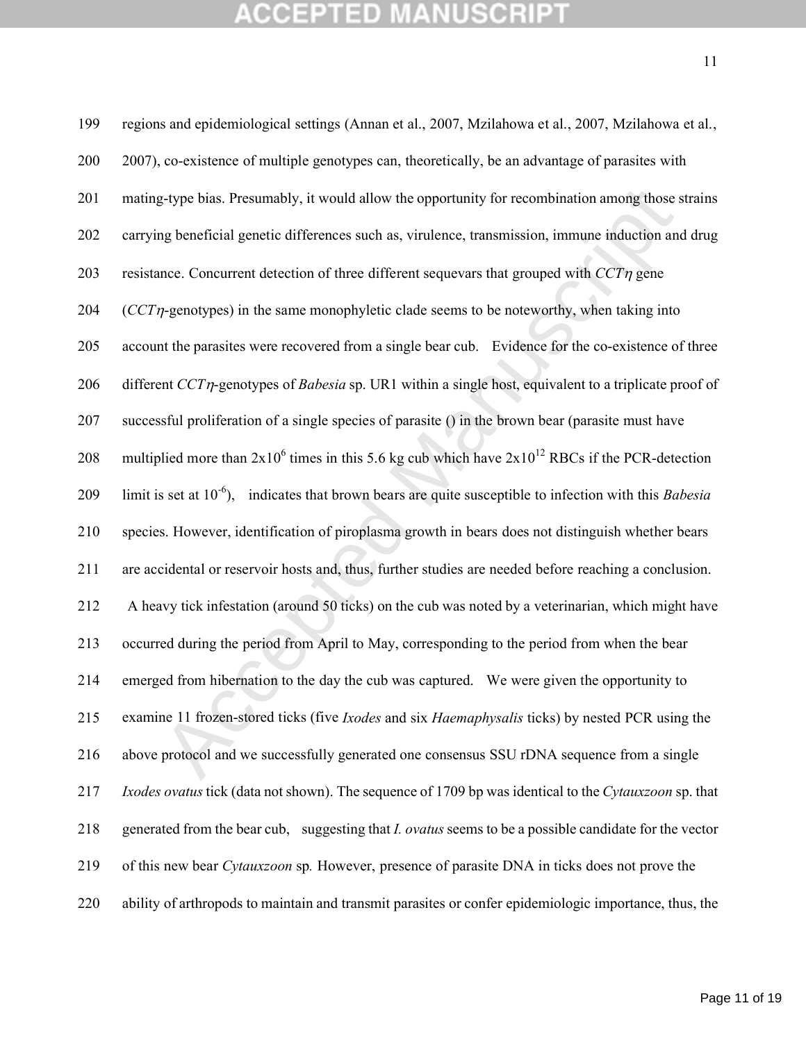g-type bias. Presumably, it would allow the opportunity for recombination among those s<br>and peneficial genetic differences such as, virulence, transmission, immune induction and<br>ance. Concurrent detection of three differe regions and epidemiological settings (Annan et al., 2007, Mzilahowa et al., 2007, Mzilahowa et al., 2007), co-existence of multiple genotypes can, theoretically, be an advantage of parasites with mating-type bias. Presumably, it would allow the opportunity for recombination among those strains carrying beneficial genetic differences such as, virulence, transmission, immune induction and drug 203 resistance. Concurrent detection of three different sequevars that grouped with  $CCT\eta$  gene (*CCT*-genotypes) in the same monophyletic clade seems to be noteworthy, when taking into account the parasites were recovered from a single bear cub. Evidence for the co-existence of three 206 different *CCT* $\eta$ -genotypes of *Babesia* sp. UR1 within a single host, equivalent to a triplicate proof of successful proliferation of a single species of parasite () in the brown bear (parasite must have 208 multiplied more than  $2x10^6$  times in this 5.6 kg cub which have  $2x10^{12}$  RBCs if the PCR-detection 209 limit is set at 10<sup>-6</sup>), indicates that brown bears are quite susceptible to infection with this *Babesia*  species. However, identification of piroplasma growth in bears does not distinguish whether bears are accidental or reservoir hosts and, thus, further studies are needed before reaching a conclusion. A heavy tick infestation (around 50 ticks) on the cub was noted by a veterinarian, which might have occurred during the period from April to May, corresponding to the period from when the bear emerged from hibernation to the day the cub was captured. We were given the opportunity to examine 11 frozen-stored ticks (five *Ixodes* and six *Haemaphysalis* ticks) by nested PCR using the above protocol and we successfully generated one consensus SSU rDNA sequence from a single *Ixodes ovatus* tick (data not shown). The sequence of 1709 bp was identical to the *Cytauxzoon* sp. that generated from the bear cub, suggesting that *I. ovatus* seems to be a possible candidate for the vector of this new bear *Cytauxzoon* sp*.* However, presence of parasite DNA in ticks does not prove the ability of arthropods to maintain and transmit parasites or confer epidemiologic importance, thus, the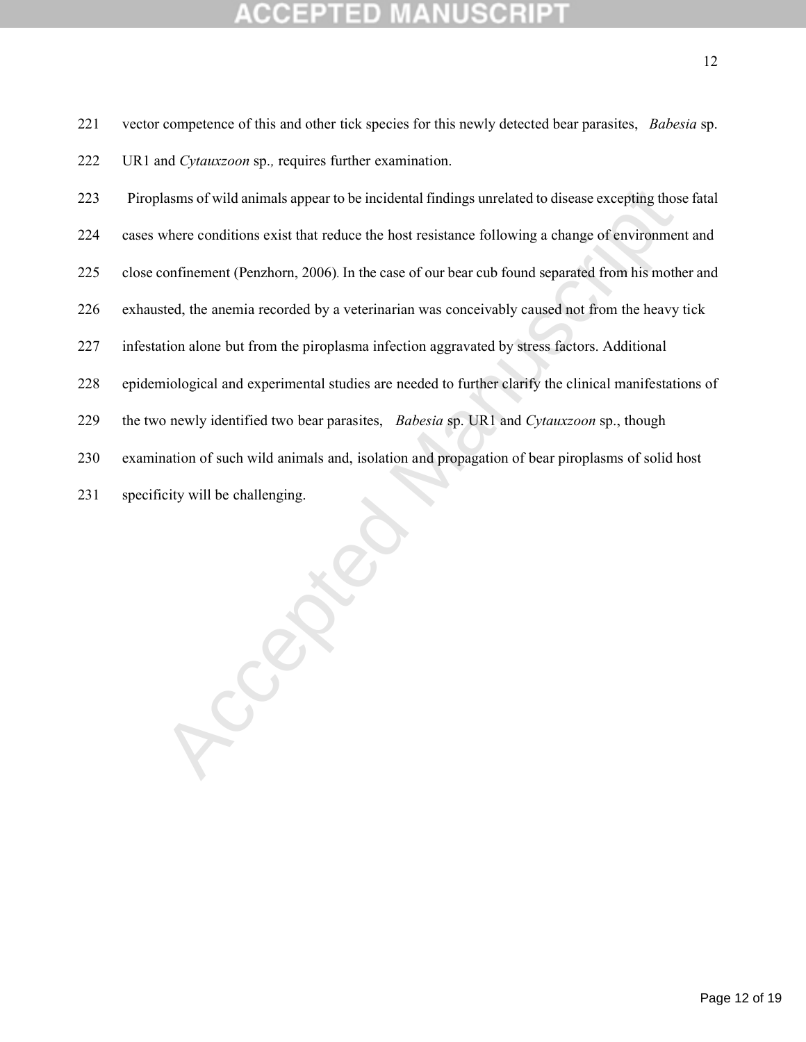| 221 | vector competence of this and other tick species for this newly detected bear parasites, Babesia sp.   |
|-----|--------------------------------------------------------------------------------------------------------|
| 222 | UR1 and Cytauxzoon sp., requires further examination.                                                  |
| 223 | Piroplasms of wild animals appear to be incidental findings unrelated to disease excepting those fatal |
| 224 | cases where conditions exist that reduce the host resistance following a change of environment and     |
| 225 | close confinement (Penzhorn, 2006). In the case of our bear cub found separated from his mother and    |
| 226 | exhausted, the anemia recorded by a veterinarian was conceivably caused not from the heavy tick        |
| 227 | infestation alone but from the piroplasma infection aggravated by stress factors. Additional           |
| 228 | epidemiological and experimental studies are needed to further clarify the clinical manifestations of  |
| 229 | the two newly identified two bear parasites, Babesia sp. UR1 and Cytauxzoon sp., though                |
| 230 | examination of such wild animals and, isolation and propagation of bear piroplasms of solid host       |
| 231 | specificity will be challenging.                                                                       |
|     |                                                                                                        |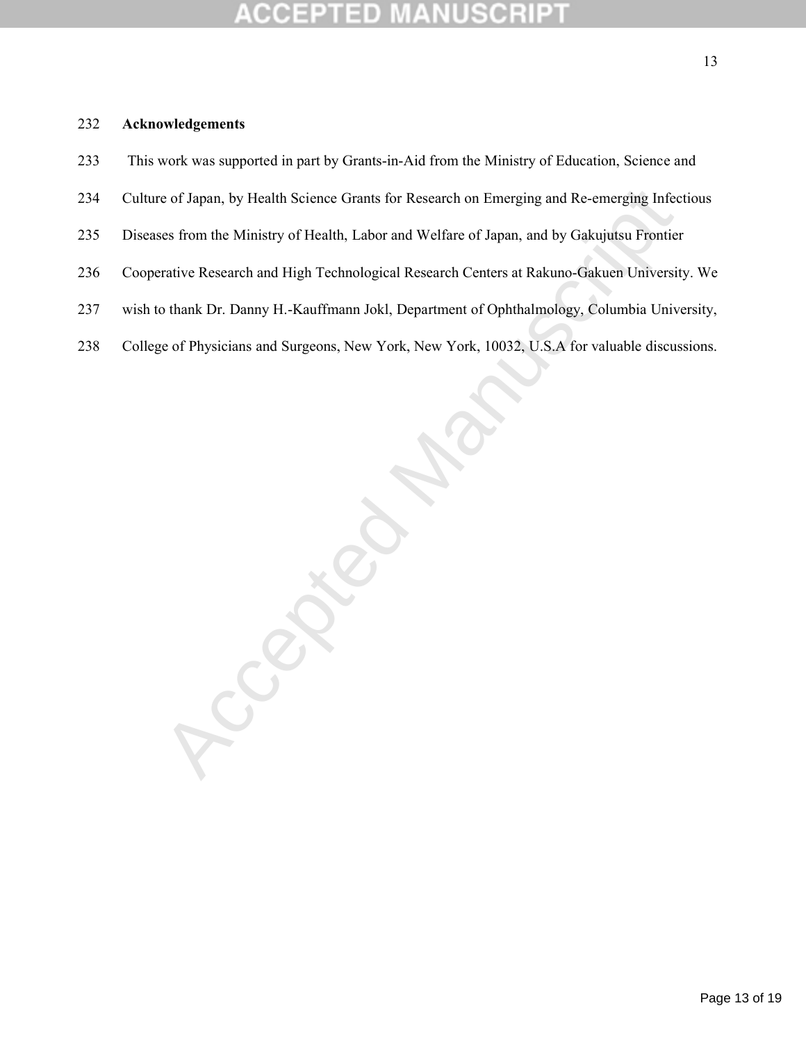#### **IUSCR** COEPTED

- This work was supported in part by Grants-in-Aid from the Ministry of Education, Science and
- Culture of Japan, by Health Science Grants for Research on Emerging and Re-emerging Infectious
- Diseases from the Ministry of Health, Labor and Welfare of Japan, and by Gakujutsu Frontier
- Cooperative Research and High Technological Research Centers at Rakuno-Gakuen University. We
- wish to thank Dr. Danny H.-Kauffmann Jokl, Department of Ophthalmology, Columbia University,
- College of Physicians and Surgeons, New York, New York, 10032, U.S.A for valuable discussions.

Cccepted Manuscript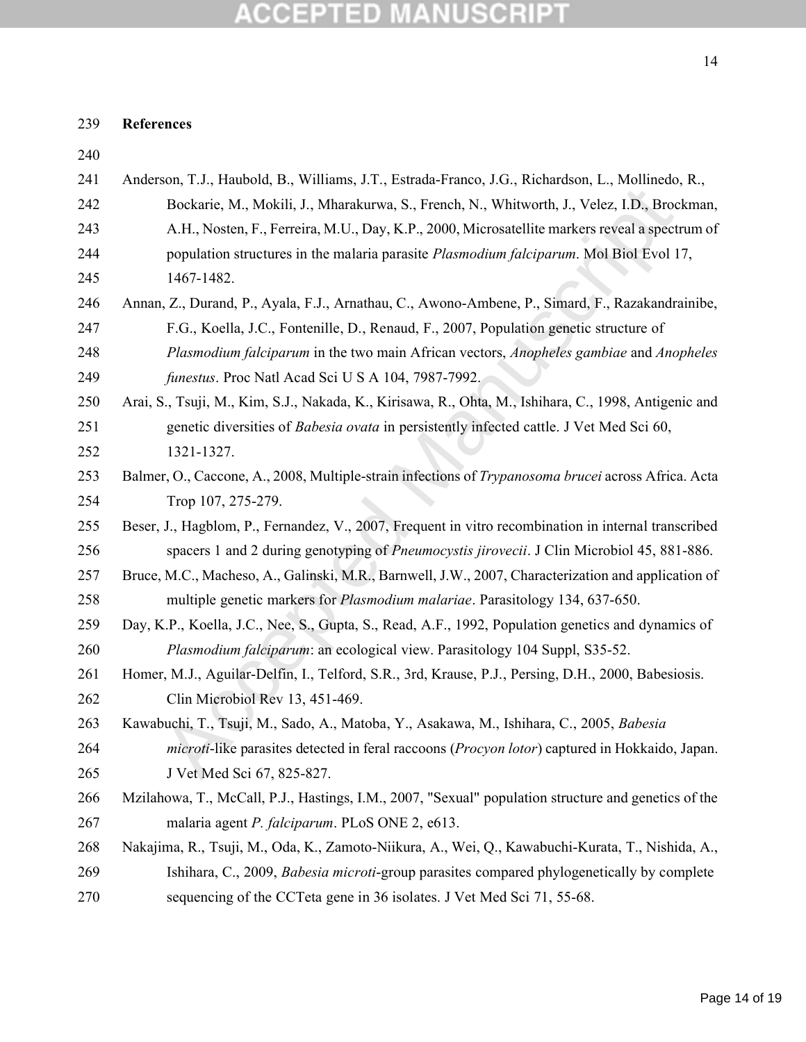### **References**

| 240 |                                                                                                       |
|-----|-------------------------------------------------------------------------------------------------------|
| 241 | Anderson, T.J., Haubold, B., Williams, J.T., Estrada-Franco, J.G., Richardson, L., Mollinedo, R.,     |
| 242 | Bockarie, M., Mokili, J., Mharakurwa, S., French, N., Whitworth, J., Velez, I.D., Brockman,           |
| 243 | A.H., Nosten, F., Ferreira, M.U., Day, K.P., 2000, Microsatellite markers reveal a spectrum of        |
| 244 | population structures in the malaria parasite Plasmodium falciparum. Mol Biol Evol 17,                |
| 245 | 1467-1482.                                                                                            |
| 246 | Annan, Z., Durand, P., Ayala, F.J., Arnathau, C., Awono-Ambene, P., Simard, F., Razakandrainibe,      |
| 247 | F.G., Koella, J.C., Fontenille, D., Renaud, F., 2007, Population genetic structure of                 |
| 248 | Plasmodium falciparum in the two main African vectors, Anopheles gambiae and Anopheles                |
| 249 | funestus. Proc Natl Acad Sci U S A 104, 7987-7992.                                                    |
| 250 | Arai, S., Tsuji, M., Kim, S.J., Nakada, K., Kirisawa, R., Ohta, M., Ishihara, C., 1998, Antigenic and |
| 251 | genetic diversities of Babesia ovata in persistently infected cattle. J Vet Med Sci 60,               |
| 252 | 1321-1327.                                                                                            |
| 253 | Balmer, O., Caccone, A., 2008, Multiple-strain infections of Trypanosoma brucei across Africa. Acta   |
| 254 | Trop 107, 275-279.                                                                                    |
| 255 | Beser, J., Hagblom, P., Fernandez, V., 2007, Frequent in vitro recombination in internal transcribed  |
| 256 | spacers 1 and 2 during genotyping of <i>Pneumocystis jirovecii</i> . J Clin Microbiol 45, 881-886.    |
| 257 | Bruce, M.C., Macheso, A., Galinski, M.R., Barnwell, J.W., 2007, Characterization and application of   |
| 258 | multiple genetic markers for <i>Plasmodium malariae</i> . Parasitology 134, 637-650.                  |
| 259 | Day, K.P., Koella, J.C., Nee, S., Gupta, S., Read, A.F., 1992, Population genetics and dynamics of    |
| 260 | Plasmodium falciparum: an ecological view. Parasitology 104 Suppl, S35-52.                            |
| 261 | Homer, M.J., Aguilar-Delfin, I., Telford, S.R., 3rd, Krause, P.J., Persing, D.H., 2000, Babesiosis.   |
| 262 | Clin Microbiol Rev 13, 451-469.                                                                       |
| 263 | Kawabuchi, T., Tsuji, M., Sado, A., Matoba, Y., Asakawa, M., Ishihara, C., 2005, Babesia              |
| 264 | microti-like parasites detected in feral raccoons (Procyon lotor) captured in Hokkaido, Japan.        |
| 265 | J Vet Med Sci 67, 825-827.                                                                            |
| 266 | Mzilahowa, T., McCall, P.J., Hastings, I.M., 2007, "Sexual" population structure and genetics of the  |
| 267 | malaria agent P. falciparum. PLoS ONE 2, e613.                                                        |
| 268 | Nakajima, R., Tsuji, M., Oda, K., Zamoto-Niikura, A., Wei, Q., Kawabuchi-Kurata, T., Nishida, A.,     |
| 269 | Ishihara, C., 2009, Babesia microti-group parasites compared phylogenetically by complete             |
| 270 | sequencing of the CCTeta gene in 36 isolates. J Vet Med Sci 71, 55-68.                                |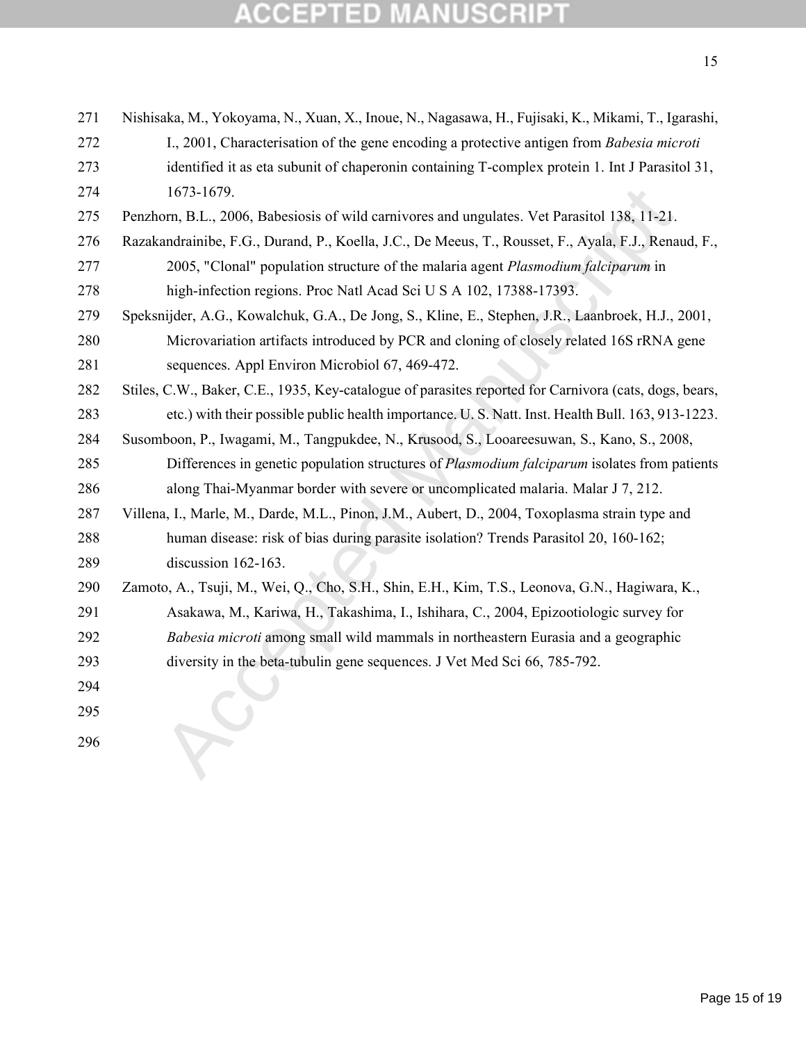| 271 | Nishisaka, M., Yokoyama, N., Xuan, X., Inoue, N., Nagasawa, H., Fujisaki, K., Mikami, T., Igarashi,    |
|-----|--------------------------------------------------------------------------------------------------------|
| 272 | I., 2001, Characterisation of the gene encoding a protective antigen from Babesia microti              |
| 273 | identified it as eta subunit of chaperonin containing T-complex protein 1. Int J Parasitol 31,         |
| 274 | 1673-1679.                                                                                             |
| 275 | Penzhorn, B.L., 2006, Babesiosis of wild carnivores and ungulates. Vet Parasitol 138, 11-21.           |
| 276 | Razakandrainibe, F.G., Durand, P., Koella, J.C., De Meeus, T., Rousset, F., Ayala, F.J., Renaud, F.,   |
| 277 | 2005, "Clonal" population structure of the malaria agent Plasmodium falciparum in                      |
| 278 | high-infection regions. Proc Natl Acad Sci U S A 102, 17388-17393.                                     |
| 279 | Speksnijder, A.G., Kowalchuk, G.A., De Jong, S., Kline, E., Stephen, J.R., Laanbroek, H.J., 2001,      |
| 280 | Microvariation artifacts introduced by PCR and cloning of closely related 16S rRNA gene                |
| 281 | sequences. Appl Environ Microbiol 67, 469-472.                                                         |
| 282 | Stiles, C.W., Baker, C.E., 1935, Key-catalogue of parasites reported for Carnivora (cats, dogs, bears, |
| 283 | etc.) with their possible public health importance. U. S. Natt. Inst. Health Bull. 163, 913-1223.      |
| 284 | Susomboon, P., Iwagami, M., Tangpukdee, N., Krusood, S., Looareesuwan, S., Kano, S., 2008,             |
| 285 | Differences in genetic population structures of <i>Plasmodium falciparum</i> isolates from patients    |
| 286 | along Thai-Myanmar border with severe or uncomplicated malaria. Malar J 7, 212.                        |
| 287 | Villena, I., Marle, M., Darde, M.L., Pinon, J.M., Aubert, D., 2004, Toxoplasma strain type and         |
| 288 | human disease: risk of bias during parasite isolation? Trends Parasitol 20, 160-162;                   |
| 289 | discussion 162-163.                                                                                    |
| 290 | Zamoto, A., Tsuji, M., Wei, Q., Cho, S.H., Shin, E.H., Kim, T.S., Leonova, G.N., Hagiwara, K.,         |
| 291 | Asakawa, M., Kariwa, H., Takashima, I., Ishihara, C., 2004, Epizootiologic survey for                  |
| 292 | Babesia microti among small wild mammals in northeastern Eurasia and a geographic                      |
| 293 | diversity in the beta-tubulin gene sequences. J Vet Med Sci 66, 785-792.                               |
| 294 |                                                                                                        |
| 295 |                                                                                                        |
| 296 |                                                                                                        |
|     |                                                                                                        |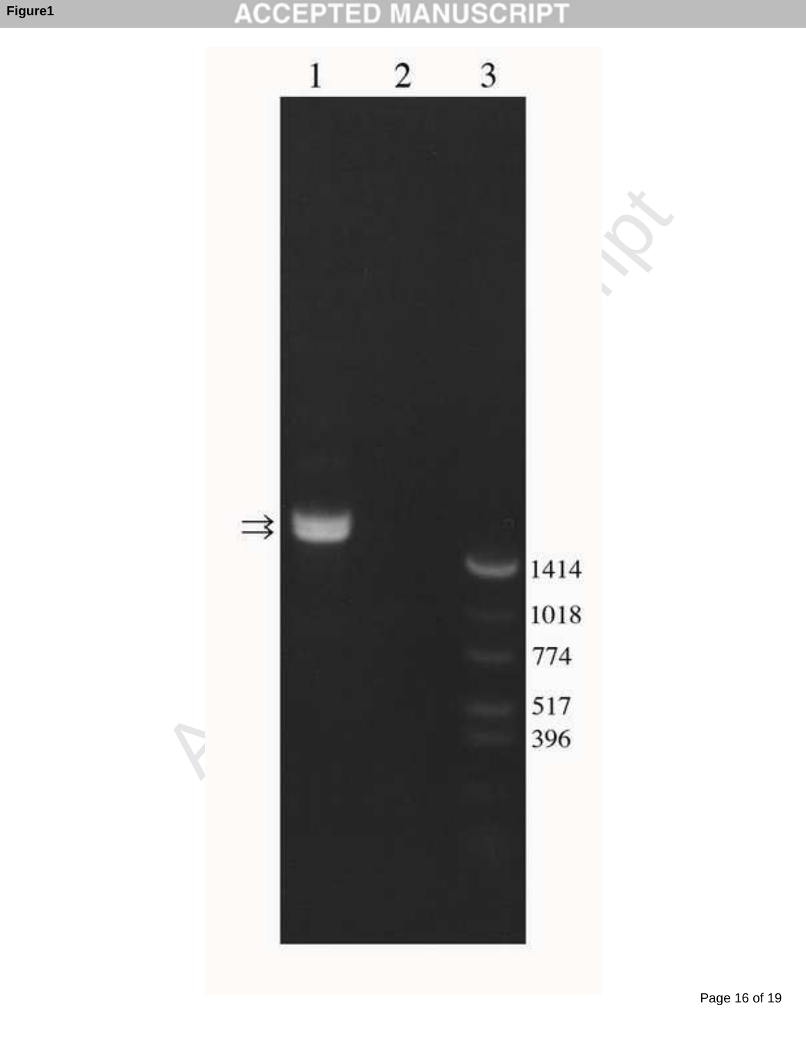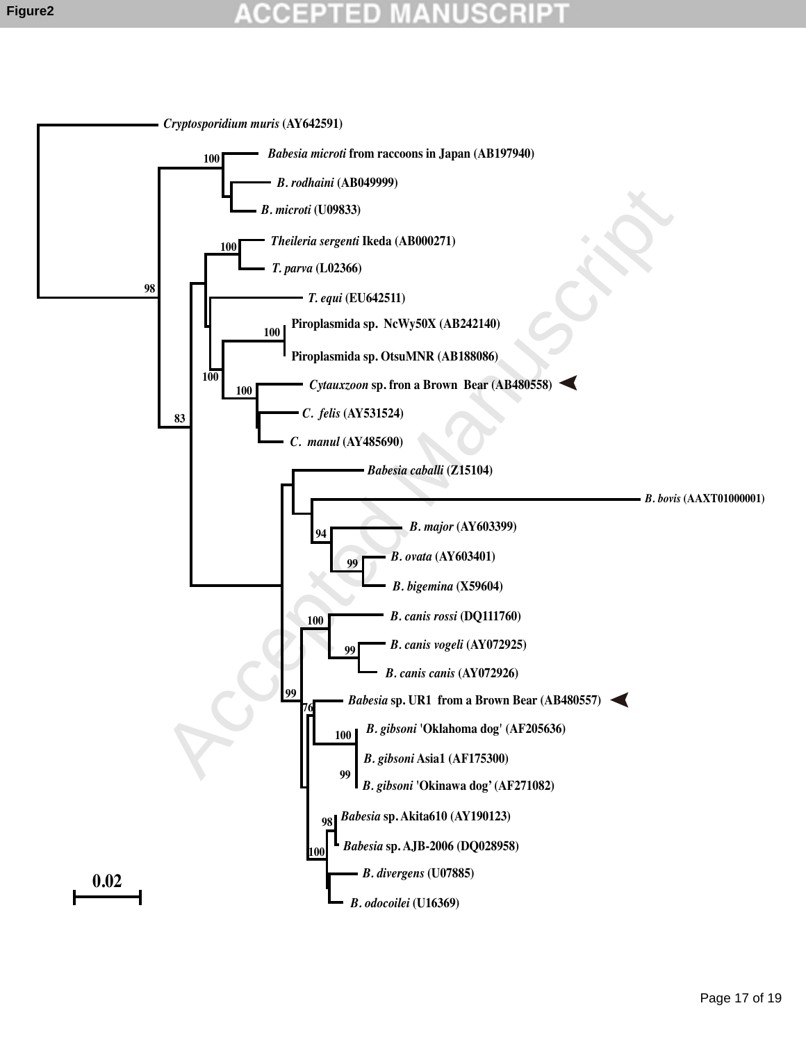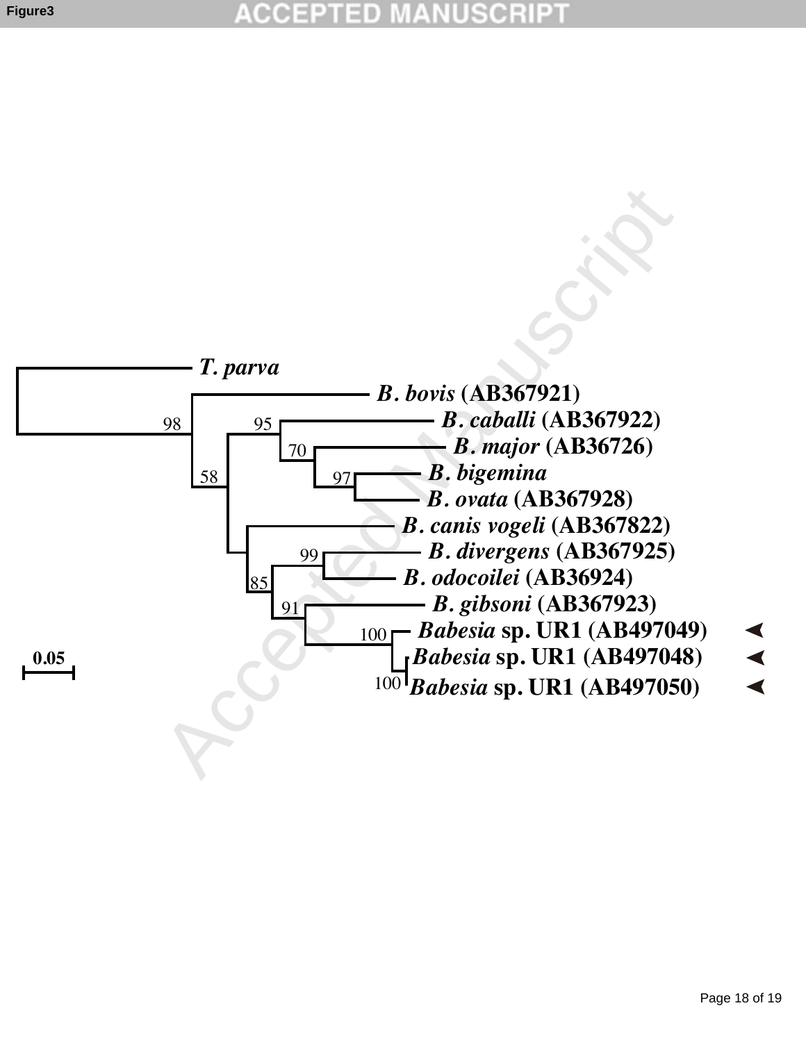